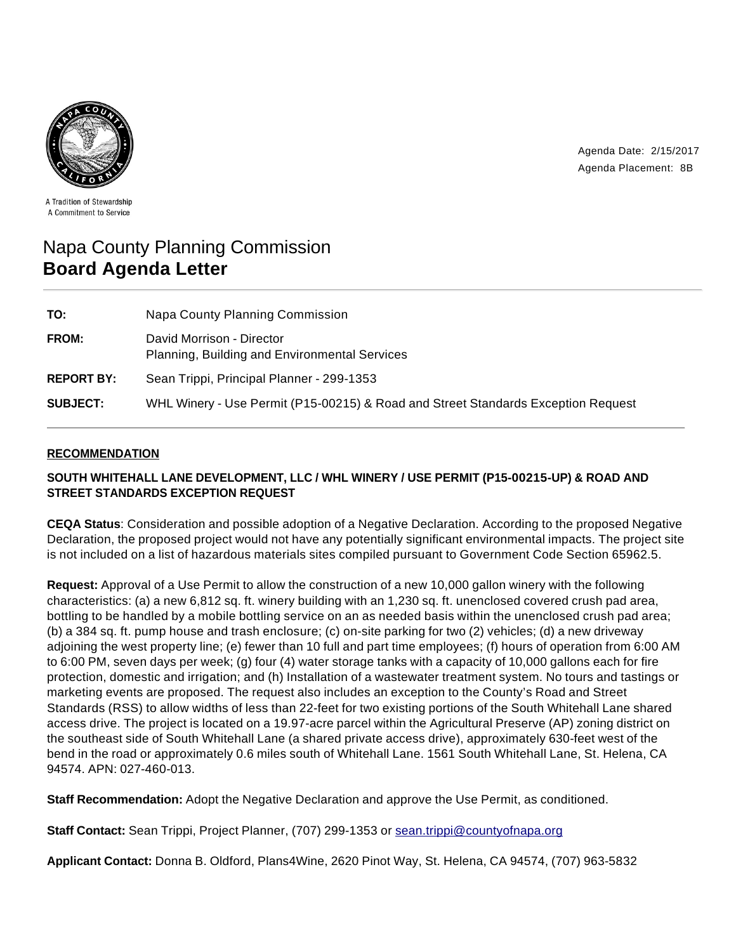



A Tradition of Stewardship A Commitment to Service

# Napa County Planning Commission **Board Agenda Letter**

| TO:               | Napa County Planning Commission                                                   |
|-------------------|-----------------------------------------------------------------------------------|
| FROM:             | David Morrison - Director<br><b>Planning, Building and Environmental Services</b> |
| <b>REPORT BY:</b> | Sean Trippi, Principal Planner - 299-1353                                         |
| <b>SUBJECT:</b>   | WHL Winery - Use Permit (P15-00215) & Road and Street Standards Exception Request |

# **RECOMMENDATION**

# **SOUTH WHITEHALL LANE DEVELOPMENT, LLC / WHL WINERY / USE PERMIT (P15-00215-UP) & ROAD AND STREET STANDARDS EXCEPTION REQUEST**

**CEQA Status**: Consideration and possible adoption of a Negative Declaration. According to the proposed Negative Declaration, the proposed project would not have any potentially significant environmental impacts. The project site is not included on a list of hazardous materials sites compiled pursuant to Government Code Section 65962.5.

**Request:** Approval of a Use Permit to allow the construction of a new 10,000 gallon winery with the following characteristics: (a) a new 6,812 sq. ft. winery building with an 1,230 sq. ft. unenclosed covered crush pad area, bottling to be handled by a mobile bottling service on an as needed basis within the unenclosed crush pad area; (b) a 384 sq. ft. pump house and trash enclosure; (c) on-site parking for two (2) vehicles; (d) a new driveway adjoining the west property line; (e) fewer than 10 full and part time employees; (f) hours of operation from 6:00 AM to 6:00 PM, seven days per week; (g) four (4) water storage tanks with a capacity of 10,000 gallons each for fire protection, domestic and irrigation; and (h) Installation of a wastewater treatment system. No tours and tastings or marketing events are proposed. The request also includes an exception to the County's Road and Street Standards (RSS) to allow widths of less than 22-feet for two existing portions of the South Whitehall Lane shared access drive. The project is located on a 19.97-acre parcel within the Agricultural Preserve (AP) zoning district on the southeast side of South Whitehall Lane (a shared private access drive), approximately 630-feet west of the bend in the road or approximately 0.6 miles south of Whitehall Lane. 1561 South Whitehall Lane, St. Helena, CA 94574. APN: 027-460-013.

**Staff Recommendation:** Adopt the Negative Declaration and approve the Use Permit, as conditioned.

**Staff Contact:** Sean Trippi, Project Planner, (707) 299-1353 or sean.trippi@countyofnapa.org

**Applicant Contact:** Donna B. Oldford, Plans4Wine, 2620 Pinot Way, St. Helena, CA 94574, (707) 963-5832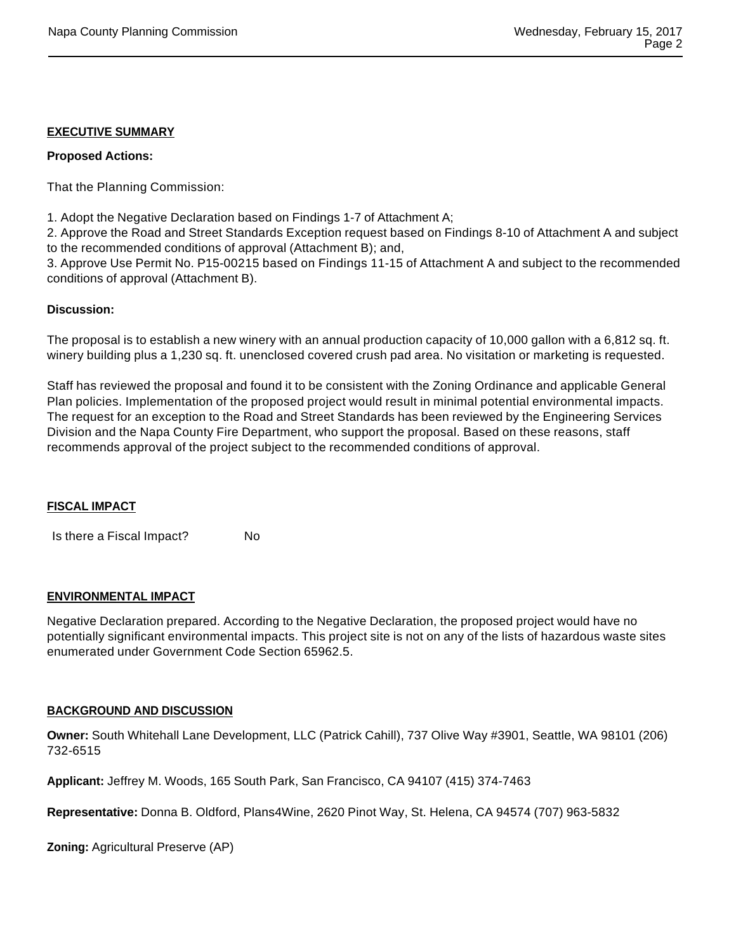## **EXECUTIVE SUMMARY**

#### **Proposed Actions:**

That the Planning Commission:

1. Adopt the Negative Declaration based on Findings 1-7 of Attachment A;

2. Approve the Road and Street Standards Exception request based on Findings 8-10 of Attachment A and subject to the recommended conditions of approval (Attachment B); and,

3. Approve Use Permit No. P15-00215 based on Findings 11-15 of Attachment A and subject to the recommended conditions of approval (Attachment B).

#### **Discussion:**

The proposal is to establish a new winery with an annual production capacity of 10,000 gallon with a 6,812 sq. ft. winery building plus a 1,230 sq. ft. unenclosed covered crush pad area. No visitation or marketing is requested.

Staff has reviewed the proposal and found it to be consistent with the Zoning Ordinance and applicable General Plan policies. Implementation of the proposed project would result in minimal potential environmental impacts. The request for an exception to the Road and Street Standards has been reviewed by the Engineering Services Division and the Napa County Fire Department, who support the proposal. Based on these reasons, staff recommends approval of the project subject to the recommended conditions of approval.

## **FISCAL IMPACT**

Is there a Fiscal Impact? No

#### **ENVIRONMENTAL IMPACT**

Negative Declaration prepared. According to the Negative Declaration, the proposed project would have no potentially significant environmental impacts. This project site is not on any of the lists of hazardous waste sites enumerated under Government Code Section 65962.5.

#### **BACKGROUND AND DISCUSSION**

**Owner:** South Whitehall Lane Development, LLC (Patrick Cahill), 737 Olive Way #3901, Seattle, WA 98101 (206) 732-6515

**Applicant:** Jeffrey M. Woods, 165 South Park, San Francisco, CA 94107 (415) 374-7463

**Representative:** Donna B. Oldford, Plans4Wine, 2620 Pinot Way, St. Helena, CA 94574 (707) 963-5832

**Zoning:** Agricultural Preserve (AP)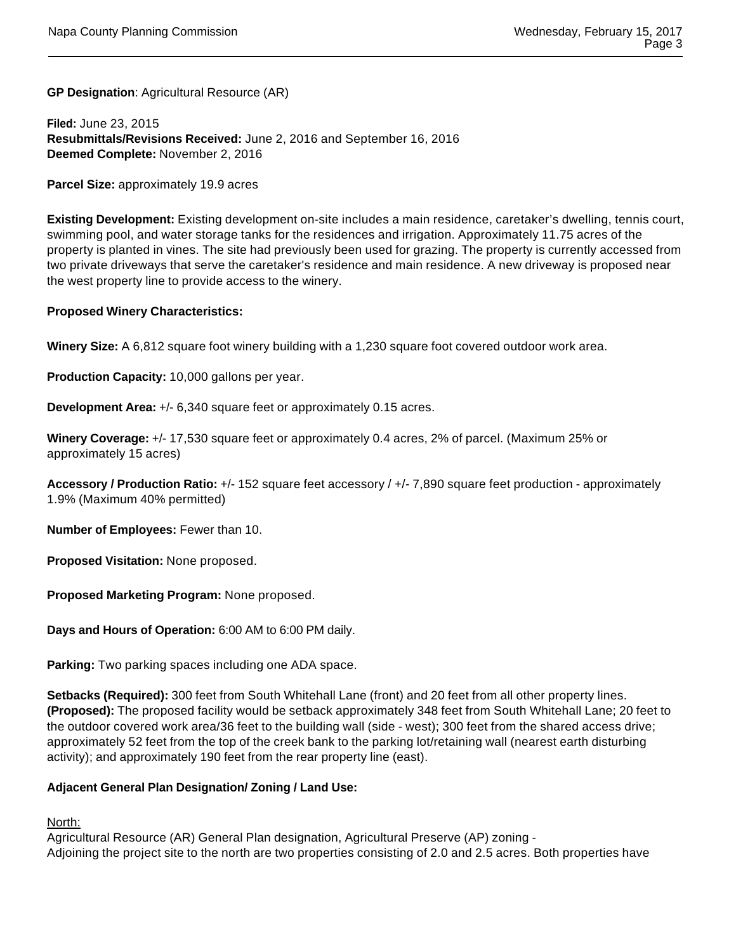**GP Designation**: Agricultural Resource (AR)

**Filed:** June 23, 2015 **Resubmittals/Revisions Received:** June 2, 2016 and September 16, 2016 **Deemed Complete:** November 2, 2016

**Parcel Size:** approximately 19.9 acres

**Existing Development:** Existing development on-site includes a main residence, caretaker's dwelling, tennis court, swimming pool, and water storage tanks for the residences and irrigation. Approximately 11.75 acres of the property is planted in vines. The site had previously been used for grazing. The property is currently accessed from two private driveways that serve the caretaker's residence and main residence. A new driveway is proposed near the west property line to provide access to the winery.

#### **Proposed Winery Characteristics:**

**Winery Size:** A 6,812 square foot winery building with a 1,230 square foot covered outdoor work area.

**Production Capacity:** 10,000 gallons per year.

**Development Area:** +/- 6,340 square feet or approximately 0.15 acres.

**Winery Coverage:** +/- 17,530 square feet or approximately 0.4 acres, 2% of parcel. (Maximum 25% or approximately 15 acres)

**Accessory / Production Ratio:** +/- 152 square feet accessory / +/- 7,890 square feet production - approximately 1.9% (Maximum 40% permitted)

**Number of Employees:** Fewer than 10.

**Proposed Visitation:** None proposed.

**Proposed Marketing Program:** None proposed.

**Days and Hours of Operation:** 6:00 AM to 6:00 PM daily.

**Parking:** Two parking spaces including one ADA space.

**Setbacks (Required):** 300 feet from South Whitehall Lane (front) and 20 feet from all other property lines. **(Proposed):** The proposed facility would be setback approximately 348 feet from South Whitehall Lane; 20 feet to the outdoor covered work area/36 feet to the building wall (side - west); 300 feet from the shared access drive; approximately 52 feet from the top of the creek bank to the parking lot/retaining wall (nearest earth disturbing activity); and approximately 190 feet from the rear property line (east).

## **Adjacent General Plan Designation/ Zoning / Land Use:**

North:

Agricultural Resource (AR) General Plan designation, Agricultural Preserve (AP) zoning - Adjoining the project site to the north are two properties consisting of 2.0 and 2.5 acres. Both properties have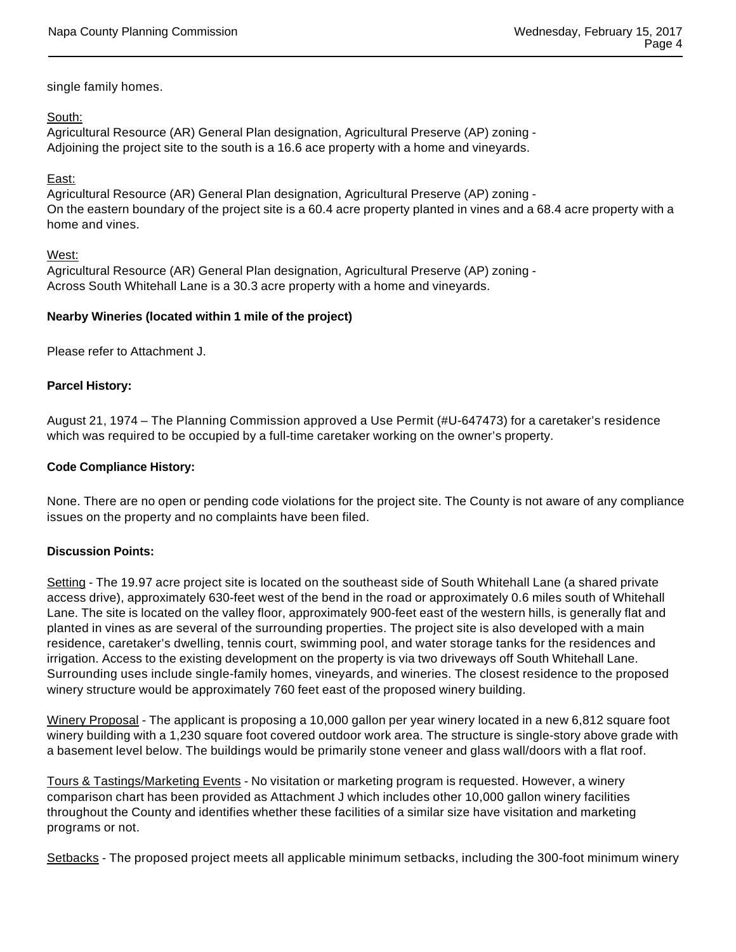single family homes.

## South:

Agricultural Resource (AR) General Plan designation, Agricultural Preserve (AP) zoning - Adjoining the project site to the south is a 16.6 ace property with a home and vineyards.

## East:

Agricultural Resource (AR) General Plan designation, Agricultural Preserve (AP) zoning - On the eastern boundary of the project site is a 60.4 acre property planted in vines and a 68.4 acre property with a home and vines.

#### West:

Agricultural Resource (AR) General Plan designation, Agricultural Preserve (AP) zoning - Across South Whitehall Lane is a 30.3 acre property with a home and vineyards.

## **Nearby Wineries (located within 1 mile of the project)**

Please refer to Attachment J.

#### **Parcel History:**

August 21, 1974 – The Planning Commission approved a Use Permit (#U-647473) for a caretaker's residence which was required to be occupied by a full-time caretaker working on the owner's property.

#### **Code Compliance History:**

None. There are no open or pending code violations for the project site. The County is not aware of any compliance issues on the property and no complaints have been filed.

## **Discussion Points:**

Setting - The 19.97 acre project site is located on the southeast side of South Whitehall Lane (a shared private access drive), approximately 630-feet west of the bend in the road or approximately 0.6 miles south of Whitehall Lane. The site is located on the valley floor, approximately 900-feet east of the western hills, is generally flat and planted in vines as are several of the surrounding properties. The project site is also developed with a main residence, caretaker's dwelling, tennis court, swimming pool, and water storage tanks for the residences and irrigation. Access to the existing development on the property is via two driveways off South Whitehall Lane. Surrounding uses include single-family homes, vineyards, and wineries. The closest residence to the proposed winery structure would be approximately 760 feet east of the proposed winery building.

Winery Proposal - The applicant is proposing a 10,000 gallon per year winery located in a new 6,812 square foot winery building with a 1,230 square foot covered outdoor work area. The structure is single-story above grade with a basement level below. The buildings would be primarily stone veneer and glass wall/doors with a flat roof.

Tours & Tastings/Marketing Events - No visitation or marketing program is requested. However, a winery comparison chart has been provided as Attachment J which includes other 10,000 gallon winery facilities throughout the County and identifies whether these facilities of a similar size have visitation and marketing programs or not.

Setbacks - The proposed project meets all applicable minimum setbacks, including the 300-foot minimum winery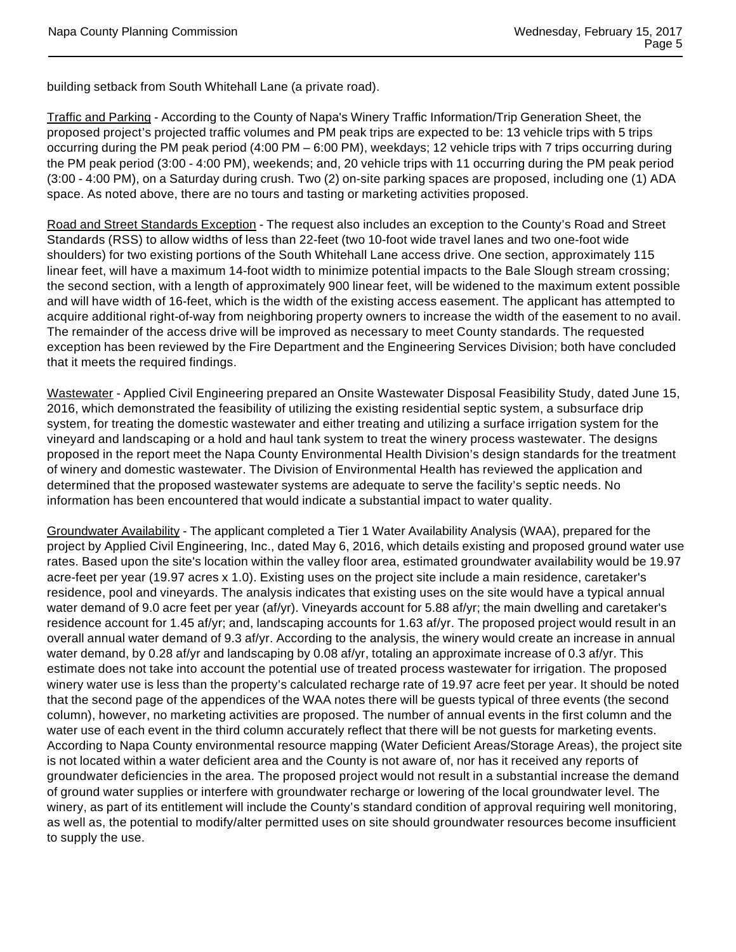building setback from South Whitehall Lane (a private road).

Traffic and Parking - According to the County of Napa's Winery Traffic Information/Trip Generation Sheet, the proposed project's projected traffic volumes and PM peak trips are expected to be: 13 vehicle trips with 5 trips occurring during the PM peak period (4:00 PM – 6:00 PM), weekdays; 12 vehicle trips with 7 trips occurring during the PM peak period (3:00 - 4:00 PM), weekends; and, 20 vehicle trips with 11 occurring during the PM peak period (3:00 - 4:00 PM), on a Saturday during crush. Two (2) on-site parking spaces are proposed, including one (1) ADA space. As noted above, there are no tours and tasting or marketing activities proposed.

Road and Street Standards Exception - The request also includes an exception to the County's Road and Street Standards (RSS) to allow widths of less than 22-feet (two 10-foot wide travel lanes and two one-foot wide shoulders) for two existing portions of the South Whitehall Lane access drive. One section, approximately 115 linear feet, will have a maximum 14-foot width to minimize potential impacts to the Bale Slough stream crossing; the second section, with a length of approximately 900 linear feet, will be widened to the maximum extent possible and will have width of 16-feet, which is the width of the existing access easement. The applicant has attempted to acquire additional right-of-way from neighboring property owners to increase the width of the easement to no avail. The remainder of the access drive will be improved as necessary to meet County standards. The requested exception has been reviewed by the Fire Department and the Engineering Services Division; both have concluded that it meets the required findings.

Wastewater - Applied Civil Engineering prepared an Onsite Wastewater Disposal Feasibility Study, dated June 15, 2016, which demonstrated the feasibility of utilizing the existing residential septic system, a subsurface drip system, for treating the domestic wastewater and either treating and utilizing a surface irrigation system for the vineyard and landscaping or a hold and haul tank system to treat the winery process wastewater. The designs proposed in the report meet the Napa County Environmental Health Division's design standards for the treatment of winery and domestic wastewater. The Division of Environmental Health has reviewed the application and determined that the proposed wastewater systems are adequate to serve the facility's septic needs. No information has been encountered that would indicate a substantial impact to water quality.

Groundwater Availability - The applicant completed a Tier 1 Water Availability Analysis (WAA), prepared for the project by Applied Civil Engineering, Inc., dated May 6, 2016, which details existing and proposed ground water use rates. Based upon the site's location within the valley floor area, estimated groundwater availability would be 19.97 acre-feet per year (19.97 acres x 1.0). Existing uses on the project site include a main residence, caretaker's residence, pool and vineyards. The analysis indicates that existing uses on the site would have a typical annual water demand of 9.0 acre feet per year (af/yr). Vineyards account for 5.88 af/yr; the main dwelling and caretaker's residence account for 1.45 af/yr; and, landscaping accounts for 1.63 af/yr. The proposed project would result in an overall annual water demand of 9.3 af/yr. According to the analysis, the winery would create an increase in annual water demand, by 0.28 af/yr and landscaping by 0.08 af/yr, totaling an approximate increase of 0.3 af/yr. This estimate does not take into account the potential use of treated process wastewater for irrigation. The proposed winery water use is less than the property's calculated recharge rate of 19.97 acre feet per year. It should be noted that the second page of the appendices of the WAA notes there will be guests typical of three events (the second column), however, no marketing activities are proposed. The number of annual events in the first column and the water use of each event in the third column accurately reflect that there will be not guests for marketing events. According to Napa County environmental resource mapping (Water Deficient Areas/Storage Areas), the project site is not located within a water deficient area and the County is not aware of, nor has it received any reports of groundwater deficiencies in the area. The proposed project would not result in a substantial increase the demand of ground water supplies or interfere with groundwater recharge or lowering of the local groundwater level. The winery, as part of its entitlement will include the County's standard condition of approval requiring well monitoring, as well as, the potential to modify/alter permitted uses on site should groundwater resources become insufficient to supply the use.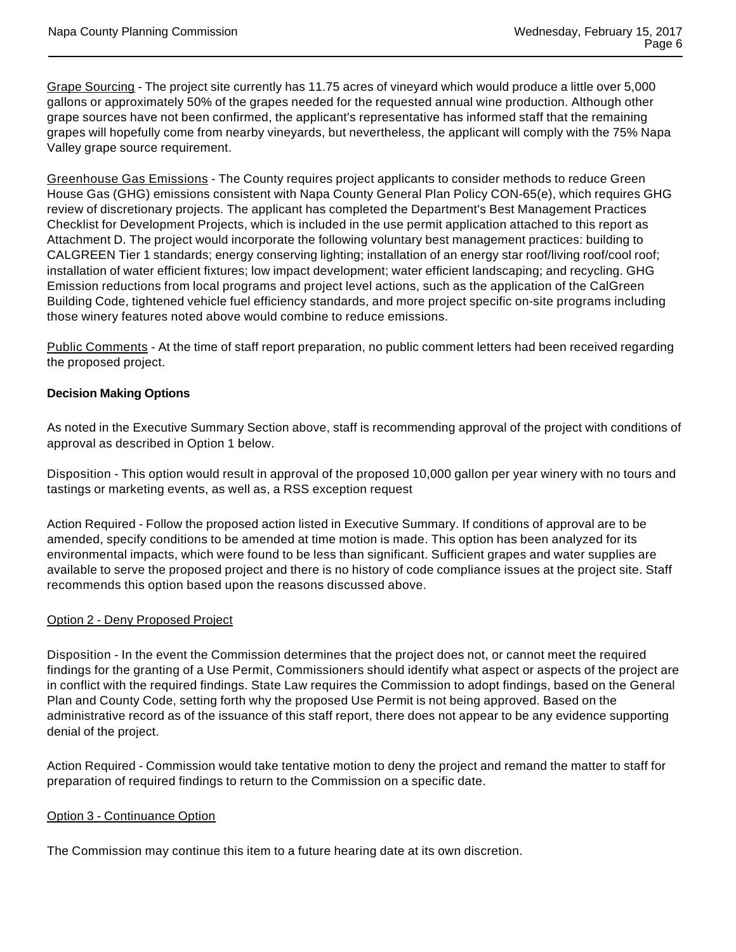Grape Sourcing - The project site currently has 11.75 acres of vineyard which would produce a little over 5,000 gallons or approximately 50% of the grapes needed for the requested annual wine production. Although other grape sources have not been confirmed, the applicant's representative has informed staff that the remaining grapes will hopefully come from nearby vineyards, but nevertheless, the applicant will comply with the 75% Napa Valley grape source requirement.

Greenhouse Gas Emissions - The County requires project applicants to consider methods to reduce Green House Gas (GHG) emissions consistent with Napa County General Plan Policy CON-65(e), which requires GHG review of discretionary projects. The applicant has completed the Department's Best Management Practices Checklist for Development Projects, which is included in the use permit application attached to this report as Attachment D. The project would incorporate the following voluntary best management practices: building to CALGREEN Tier 1 standards; energy conserving lighting; installation of an energy star roof/living roof/cool roof; installation of water efficient fixtures; low impact development; water efficient landscaping; and recycling. GHG Emission reductions from local programs and project level actions, such as the application of the CalGreen Building Code, tightened vehicle fuel efficiency standards, and more project specific on-site programs including those winery features noted above would combine to reduce emissions.

Public Comments - At the time of staff report preparation, no public comment letters had been received regarding the proposed project.

# **Decision Making Options**

As noted in the Executive Summary Section above, staff is recommending approval of the project with conditions of approval as described in Option 1 below.

Disposition - This option would result in approval of the proposed 10,000 gallon per year winery with no tours and tastings or marketing events, as well as, a RSS exception request

Action Required - Follow the proposed action listed in Executive Summary. If conditions of approval are to be amended, specify conditions to be amended at time motion is made. This option has been analyzed for its environmental impacts, which were found to be less than significant. Sufficient grapes and water supplies are available to serve the proposed project and there is no history of code compliance issues at the project site. Staff recommends this option based upon the reasons discussed above.

## Option 2 - Deny Proposed Project

Disposition - In the event the Commission determines that the project does not, or cannot meet the required findings for the granting of a Use Permit, Commissioners should identify what aspect or aspects of the project are in conflict with the required findings. State Law requires the Commission to adopt findings, based on the General Plan and County Code, setting forth why the proposed Use Permit is not being approved. Based on the administrative record as of the issuance of this staff report, there does not appear to be any evidence supporting denial of the project.

Action Required - Commission would take tentative motion to deny the project and remand the matter to staff for preparation of required findings to return to the Commission on a specific date.

#### Option 3 - Continuance Option

The Commission may continue this item to a future hearing date at its own discretion.